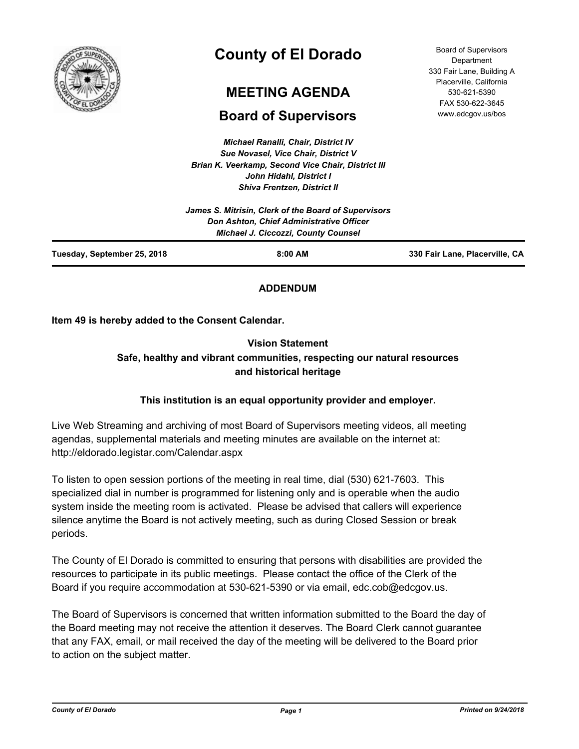

# **County of El Dorado**

# **MEETING AGENDA**

# **Board of Supervisors**

*Michael Ranalli, Chair, District IV Sue Novasel, Vice Chair, District V Brian K. Veerkamp, Second Vice Chair, District III John Hidahl, District I Shiva Frentzen, District II*

Board of Supervisors **Department** 330 Fair Lane, Building A Placerville, California 530-621-5390 FAX 530-622-3645 www.edcgov.us/bos

|                             | James S. Mitrisin, Clerk of the Board of Supervisors<br>Don Ashton, Chief Administrative Officer<br><b>Michael J. Ciccozzi, County Counsel</b> |                                |
|-----------------------------|------------------------------------------------------------------------------------------------------------------------------------------------|--------------------------------|
| Tuesday, September 25, 2018 | $8:00$ AM                                                                                                                                      | 330 Fair Lane, Placerville, CA |

# **ADDENDUM**

**Item 49 is hereby added to the Consent Calendar.**

# **Vision Statement Safe, healthy and vibrant communities, respecting our natural resources and historical heritage**

# **This institution is an equal opportunity provider and employer.**

Live Web Streaming and archiving of most Board of Supervisors meeting videos, all meeting agendas, supplemental materials and meeting minutes are available on the internet at: http://eldorado.legistar.com/Calendar.aspx

To listen to open session portions of the meeting in real time, dial (530) 621-7603. This specialized dial in number is programmed for listening only and is operable when the audio system inside the meeting room is activated. Please be advised that callers will experience silence anytime the Board is not actively meeting, such as during Closed Session or break periods.

The County of El Dorado is committed to ensuring that persons with disabilities are provided the resources to participate in its public meetings. Please contact the office of the Clerk of the Board if you require accommodation at 530-621-5390 or via email, edc.cob@edcgov.us.

The Board of Supervisors is concerned that written information submitted to the Board the day of the Board meeting may not receive the attention it deserves. The Board Clerk cannot guarantee that any FAX, email, or mail received the day of the meeting will be delivered to the Board prior to action on the subject matter.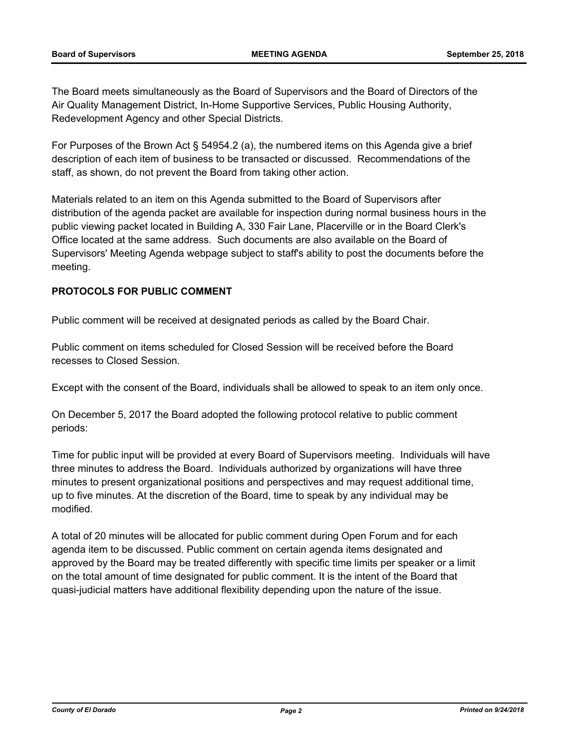The Board meets simultaneously as the Board of Supervisors and the Board of Directors of the Air Quality Management District, In-Home Supportive Services, Public Housing Authority, Redevelopment Agency and other Special Districts.

For Purposes of the Brown Act § 54954.2 (a), the numbered items on this Agenda give a brief description of each item of business to be transacted or discussed. Recommendations of the staff, as shown, do not prevent the Board from taking other action.

Materials related to an item on this Agenda submitted to the Board of Supervisors after distribution of the agenda packet are available for inspection during normal business hours in the public viewing packet located in Building A, 330 Fair Lane, Placerville or in the Board Clerk's Office located at the same address. Such documents are also available on the Board of Supervisors' Meeting Agenda webpage subject to staff's ability to post the documents before the meeting.

# **PROTOCOLS FOR PUBLIC COMMENT**

Public comment will be received at designated periods as called by the Board Chair.

Public comment on items scheduled for Closed Session will be received before the Board recesses to Closed Session.

Except with the consent of the Board, individuals shall be allowed to speak to an item only once.

On December 5, 2017 the Board adopted the following protocol relative to public comment periods:

Time for public input will be provided at every Board of Supervisors meeting. Individuals will have three minutes to address the Board. Individuals authorized by organizations will have three minutes to present organizational positions and perspectives and may request additional time, up to five minutes. At the discretion of the Board, time to speak by any individual may be modified.

A total of 20 minutes will be allocated for public comment during Open Forum and for each agenda item to be discussed. Public comment on certain agenda items designated and approved by the Board may be treated differently with specific time limits per speaker or a limit on the total amount of time designated for public comment. It is the intent of the Board that quasi-judicial matters have additional flexibility depending upon the nature of the issue.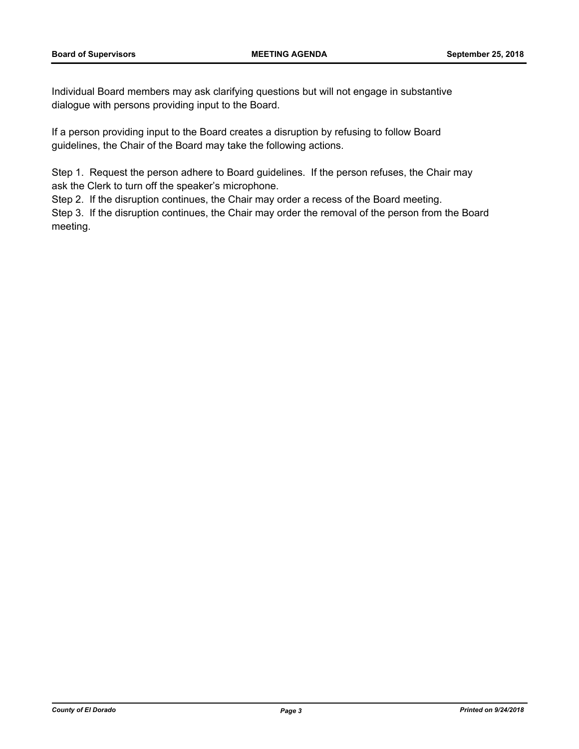Individual Board members may ask clarifying questions but will not engage in substantive dialogue with persons providing input to the Board.

If a person providing input to the Board creates a disruption by refusing to follow Board guidelines, the Chair of the Board may take the following actions.

Step 1. Request the person adhere to Board guidelines. If the person refuses, the Chair may ask the Clerk to turn off the speaker's microphone.

Step 2. If the disruption continues, the Chair may order a recess of the Board meeting.

Step 3. If the disruption continues, the Chair may order the removal of the person from the Board meeting.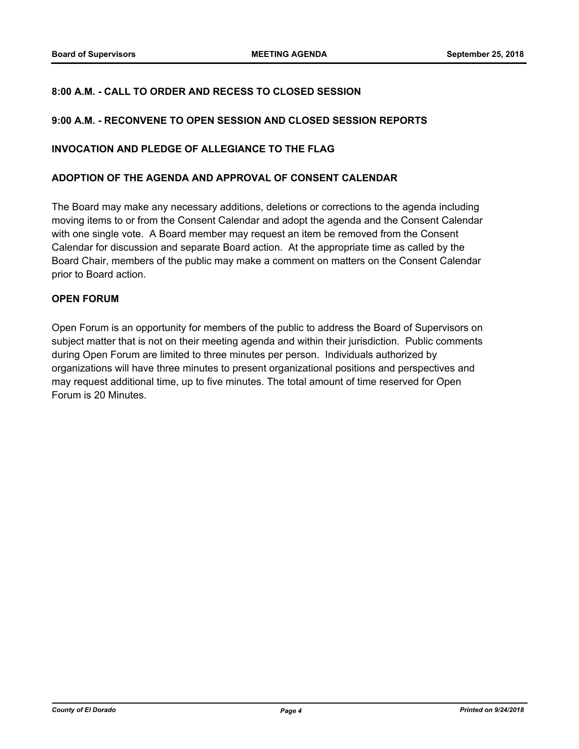## **8:00 A.M. - CALL TO ORDER AND RECESS TO CLOSED SESSION**

#### **9:00 A.M. - RECONVENE TO OPEN SESSION AND CLOSED SESSION REPORTS**

#### **INVOCATION AND PLEDGE OF ALLEGIANCE TO THE FLAG**

#### **ADOPTION OF THE AGENDA AND APPROVAL OF CONSENT CALENDAR**

The Board may make any necessary additions, deletions or corrections to the agenda including moving items to or from the Consent Calendar and adopt the agenda and the Consent Calendar with one single vote. A Board member may request an item be removed from the Consent Calendar for discussion and separate Board action. At the appropriate time as called by the Board Chair, members of the public may make a comment on matters on the Consent Calendar prior to Board action.

#### **OPEN FORUM**

Open Forum is an opportunity for members of the public to address the Board of Supervisors on subject matter that is not on their meeting agenda and within their jurisdiction. Public comments during Open Forum are limited to three minutes per person. Individuals authorized by organizations will have three minutes to present organizational positions and perspectives and may request additional time, up to five minutes. The total amount of time reserved for Open Forum is 20 Minutes.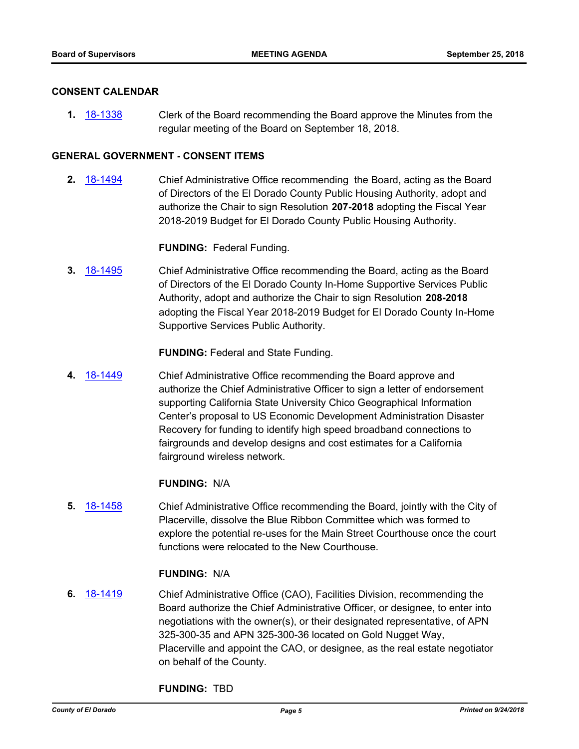#### **CONSENT CALENDAR**

**1.** [18-1338](http://eldorado.legistar.com/gateway.aspx?m=l&id=/matter.aspx?key=24689) Clerk of the Board recommending the Board approve the Minutes from the regular meeting of the Board on September 18, 2018.

### **GENERAL GOVERNMENT - CONSENT ITEMS**

**2.** [18-1494](http://eldorado.legistar.com/gateway.aspx?m=l&id=/matter.aspx?key=24845) Chief Administrative Office recommending the Board, acting as the Board of Directors of the El Dorado County Public Housing Authority, adopt and authorize the Chair to sign Resolution **207-2018** adopting the Fiscal Year 2018-2019 Budget for El Dorado County Public Housing Authority.

#### **FUNDING:** Federal Funding.

**3.** [18-1495](http://eldorado.legistar.com/gateway.aspx?m=l&id=/matter.aspx?key=24846) Chief Administrative Office recommending the Board, acting as the Board of Directors of the El Dorado County In-Home Supportive Services Public Authority, adopt and authorize the Chair to sign Resolution **208-2018**  adopting the Fiscal Year 2018-2019 Budget for El Dorado County In-Home Supportive Services Public Authority.

**FUNDING:** Federal and State Funding.

**4.** [18-1449](http://eldorado.legistar.com/gateway.aspx?m=l&id=/matter.aspx?key=24801) Chief Administrative Office recommending the Board approve and authorize the Chief Administrative Officer to sign a letter of endorsement supporting California State University Chico Geographical Information Center's proposal to US Economic Development Administration Disaster Recovery for funding to identify high speed broadband connections to fairgrounds and develop designs and cost estimates for a California fairground wireless network.

#### **FUNDING:** N/A

**5.** [18-1458](http://eldorado.legistar.com/gateway.aspx?m=l&id=/matter.aspx?key=24810) Chief Administrative Office recommending the Board, jointly with the City of Placerville, dissolve the Blue Ribbon Committee which was formed to explore the potential re-uses for the Main Street Courthouse once the court functions were relocated to the New Courthouse.

#### **FUNDING:** N/A

**6.** [18-1419](http://eldorado.legistar.com/gateway.aspx?m=l&id=/matter.aspx?key=24771) Chief Administrative Office (CAO), Facilities Division, recommending the Board authorize the Chief Administrative Officer, or designee, to enter into negotiations with the owner(s), or their designated representative, of APN 325-300-35 and APN 325-300-36 located on Gold Nugget Way, Placerville and appoint the CAO, or designee, as the real estate negotiator on behalf of the County.

#### **FUNDING:** TBD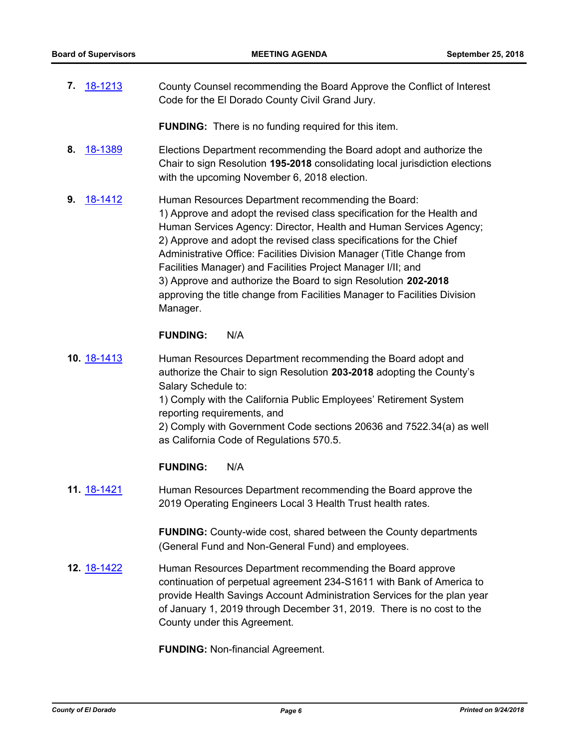**7.** [18-1213](http://eldorado.legistar.com/gateway.aspx?m=l&id=/matter.aspx?key=24564) County Counsel recommending the Board Approve the Conflict of Interest Code for the El Dorado County Civil Grand Jury.

**FUNDING:** There is no funding required for this item.

- **8.** [18-1389](http://eldorado.legistar.com/gateway.aspx?m=l&id=/matter.aspx?key=24741) Elections Department recommending the Board adopt and authorize the Chair to sign Resolution **195-2018** consolidating local jurisdiction elections with the upcoming November 6, 2018 election.
- **9.** [18-1412](http://eldorado.legistar.com/gateway.aspx?m=l&id=/matter.aspx?key=24764) Human Resources Department recommending the Board: 1) Approve and adopt the revised class specification for the Health and Human Services Agency: Director, Health and Human Services Agency; 2) Approve and adopt the revised class specifications for the Chief Administrative Office: Facilities Division Manager (Title Change from Facilities Manager) and Facilities Project Manager I/II; and 3) Approve and authorize the Board to sign Resolution **202-2018** approving the title change from Facilities Manager to Facilities Division Manager.

#### **FUNDING:** N/A

**10.** [18-1413](http://eldorado.legistar.com/gateway.aspx?m=l&id=/matter.aspx?key=24765) Human Resources Department recommending the Board adopt and authorize the Chair to sign Resolution **203-2018** adopting the County's Salary Schedule to: 1) Comply with the California Public Employees' Retirement System reporting requirements, and 2) Comply with Government Code sections 20636 and 7522.34(a) as well as California Code of Regulations 570.5.

### **FUNDING:** N/A

**11.** [18-1421](http://eldorado.legistar.com/gateway.aspx?m=l&id=/matter.aspx?key=24773) Human Resources Department recommending the Board approve the 2019 Operating Engineers Local 3 Health Trust health rates.

> **FUNDING:** County-wide cost, shared between the County departments (General Fund and Non-General Fund) and employees.

**12.** [18-1422](http://eldorado.legistar.com/gateway.aspx?m=l&id=/matter.aspx?key=24774) Human Resources Department recommending the Board approve continuation of perpetual agreement 234-S1611 with Bank of America to provide Health Savings Account Administration Services for the plan year of January 1, 2019 through December 31, 2019. There is no cost to the County under this Agreement.

**FUNDING:** Non-financial Agreement.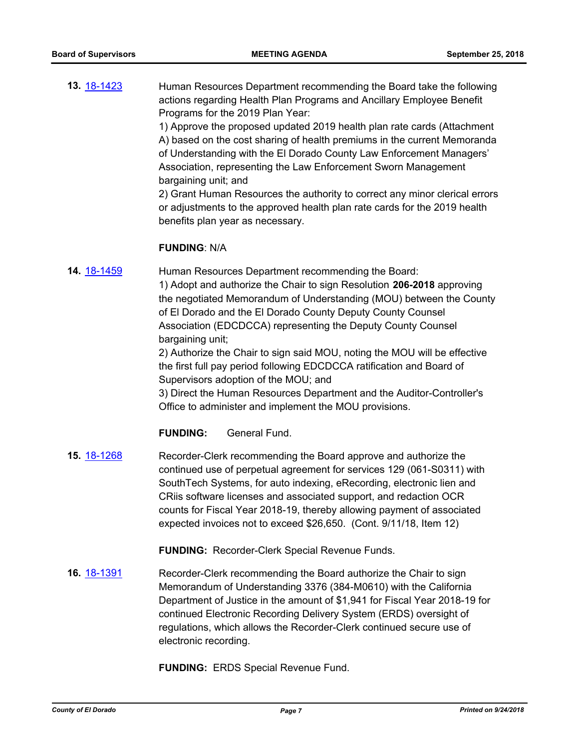**13.** [18-1423](http://eldorado.legistar.com/gateway.aspx?m=l&id=/matter.aspx?key=24775) Human Resources Department recommending the Board take the following actions regarding Health Plan Programs and Ancillary Employee Benefit Programs for the 2019 Plan Year:

1) Approve the proposed updated 2019 health plan rate cards (Attachment A) based on the cost sharing of health premiums in the current Memoranda of Understanding with the El Dorado County Law Enforcement Managers' Association, representing the Law Enforcement Sworn Management bargaining unit; and

2) Grant Human Resources the authority to correct any minor clerical errors or adjustments to the approved health plan rate cards for the 2019 health benefits plan year as necessary.

#### **FUNDING**: N/A

**14.** [18-1459](http://eldorado.legistar.com/gateway.aspx?m=l&id=/matter.aspx?key=24811) Human Resources Department recommending the Board:

1) Adopt and authorize the Chair to sign Resolution **206-2018** approving the negotiated Memorandum of Understanding (MOU) between the County of El Dorado and the El Dorado County Deputy County Counsel Association (EDCDCCA) representing the Deputy County Counsel bargaining unit;

2) Authorize the Chair to sign said MOU, noting the MOU will be effective the first full pay period following EDCDCCA ratification and Board of Supervisors adoption of the MOU; and

3) Direct the Human Resources Department and the Auditor-Controller's Office to administer and implement the MOU provisions.

**FUNDING:** General Fund.

**15.** [18-1268](http://eldorado.legistar.com/gateway.aspx?m=l&id=/matter.aspx?key=24619) Recorder-Clerk recommending the Board approve and authorize the continued use of perpetual agreement for services 129 (061-S0311) with SouthTech Systems, for auto indexing, eRecording, electronic lien and CRiis software licenses and associated support, and redaction OCR counts for Fiscal Year 2018-19, thereby allowing payment of associated expected invoices not to exceed \$26,650. (Cont. 9/11/18, Item 12)

**FUNDING:** Recorder-Clerk Special Revenue Funds.

**16.** [18-1391](http://eldorado.legistar.com/gateway.aspx?m=l&id=/matter.aspx?key=24743) Recorder-Clerk recommending the Board authorize the Chair to sign Memorandum of Understanding 3376 (384-M0610) with the California Department of Justice in the amount of \$1,941 for Fiscal Year 2018-19 for continued Electronic Recording Delivery System (ERDS) oversight of regulations, which allows the Recorder-Clerk continued secure use of electronic recording.

**FUNDING:** ERDS Special Revenue Fund.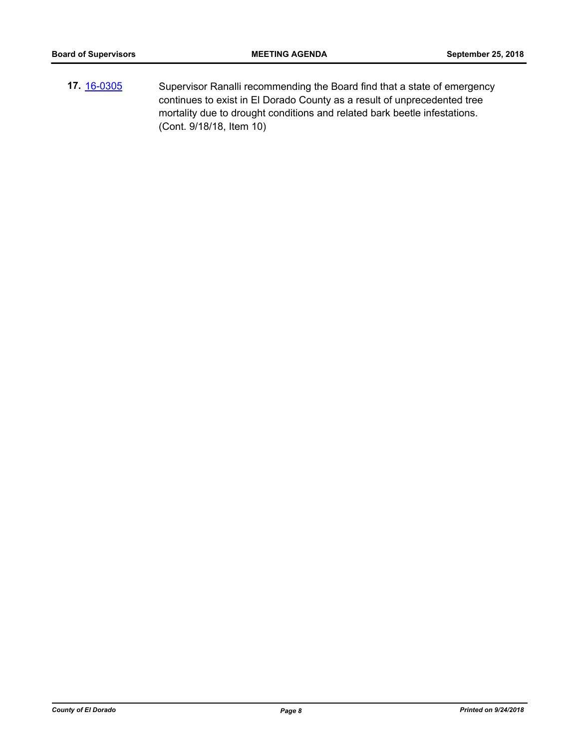**17.** [16-0305](http://eldorado.legistar.com/gateway.aspx?m=l&id=/matter.aspx?key=20961) Supervisor Ranalli recommending the Board find that a state of emergency continues to exist in El Dorado County as a result of unprecedented tree mortality due to drought conditions and related bark beetle infestations. (Cont. 9/18/18, Item 10)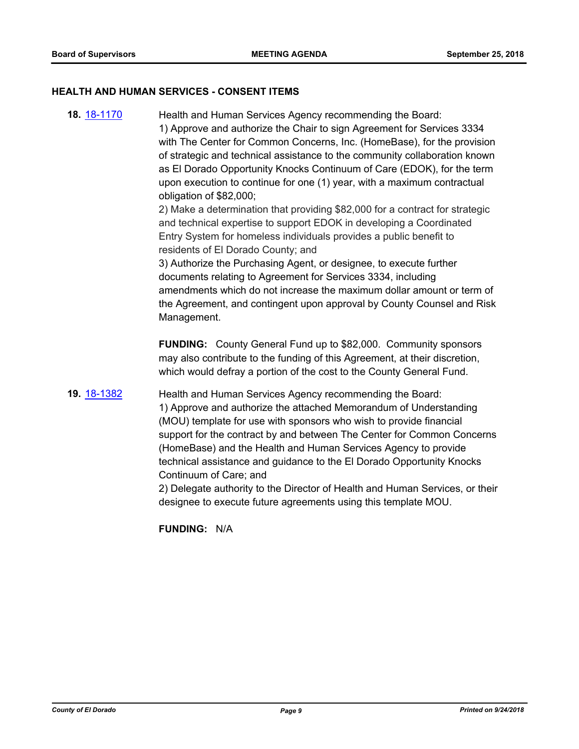#### **HEALTH AND HUMAN SERVICES - CONSENT ITEMS**

**18.** [18-1170](http://eldorado.legistar.com/gateway.aspx?m=l&id=/matter.aspx?key=24520) Health and Human Services Agency recommending the Board: 1) Approve and authorize the Chair to sign Agreement for Services 3334 with The Center for Common Concerns, Inc. (HomeBase), for the provision of strategic and technical assistance to the community collaboration known as El Dorado Opportunity Knocks Continuum of Care (EDOK), for the term upon execution to continue for one (1) year, with a maximum contractual obligation of \$82,000; 2) Make a determination that providing \$82,000 for a contract for strategic

and technical expertise to support EDOK in developing a Coordinated Entry System for homeless individuals provides a public benefit to residents of El Dorado County; and

3) Authorize the Purchasing Agent, or designee, to execute further documents relating to Agreement for Services 3334, including amendments which do not increase the maximum dollar amount or term of the Agreement, and contingent upon approval by County Counsel and Risk Management.

**FUNDING:** County General Fund up to \$82,000. Community sponsors may also contribute to the funding of this Agreement, at their discretion, which would defray a portion of the cost to the County General Fund.

# **19.** [18-1382](http://eldorado.legistar.com/gateway.aspx?m=l&id=/matter.aspx?key=24734) Health and Human Services Agency recommending the Board: 1) Approve and authorize the attached Memorandum of Understanding (MOU) template for use with sponsors who wish to provide financial support for the contract by and between The Center for Common Concerns (HomeBase) and the Health and Human Services Agency to provide technical assistance and guidance to the El Dorado Opportunity Knocks Continuum of Care; and

2) Delegate authority to the Director of Health and Human Services, or their designee to execute future agreements using this template MOU.

**FUNDING:** N/A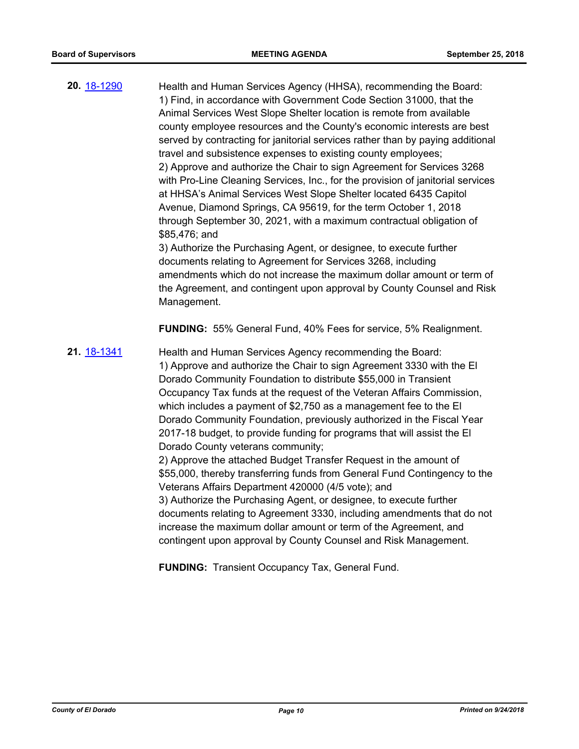**20.** [18-1290](http://eldorado.legistar.com/gateway.aspx?m=l&id=/matter.aspx?key=24641) Health and Human Services Agency (HHSA), recommending the Board: 1) Find, in accordance with Government Code Section 31000, that the Animal Services West Slope Shelter location is remote from available county employee resources and the County's economic interests are best served by contracting for janitorial services rather than by paying additional travel and subsistence expenses to existing county employees; 2) Approve and authorize the Chair to sign Agreement for Services 3268 with Pro-Line Cleaning Services, Inc., for the provision of janitorial services at HHSA's Animal Services West Slope Shelter located 6435 Capitol Avenue, Diamond Springs, CA 95619, for the term October 1, 2018 through September 30, 2021, with a maximum contractual obligation of \$85,476; and 3) Authorize the Purchasing Agent, or designee, to execute further documents relating to Agreement for Services 3268, including amendments which do not increase the maximum dollar amount or term of the Agreement, and contingent upon approval by County Counsel and Risk Management. **FUNDING:** 55% General Fund, 40% Fees for service, 5% Realignment. **21.** [18-1341](http://eldorado.legistar.com/gateway.aspx?m=l&id=/matter.aspx?key=24692) Health and Human Services Agency recommending the Board: 1) Approve and authorize the Chair to sign Agreement 3330 with the El Dorado Community Foundation to distribute \$55,000 in Transient Occupancy Tax funds at the request of the Veteran Affairs Commission,

which includes a payment of \$2,750 as a management fee to the El Dorado Community Foundation, previously authorized in the Fiscal Year 2017-18 budget, to provide funding for programs that will assist the El Dorado County veterans community;

2) Approve the attached Budget Transfer Request in the amount of \$55,000, thereby transferring funds from General Fund Contingency to the Veterans Affairs Department 420000 (4/5 vote); and 3) Authorize the Purchasing Agent, or designee, to execute further documents relating to Agreement 3330, including amendments that do not increase the maximum dollar amount or term of the Agreement, and

contingent upon approval by County Counsel and Risk Management.

**FUNDING:** Transient Occupancy Tax, General Fund.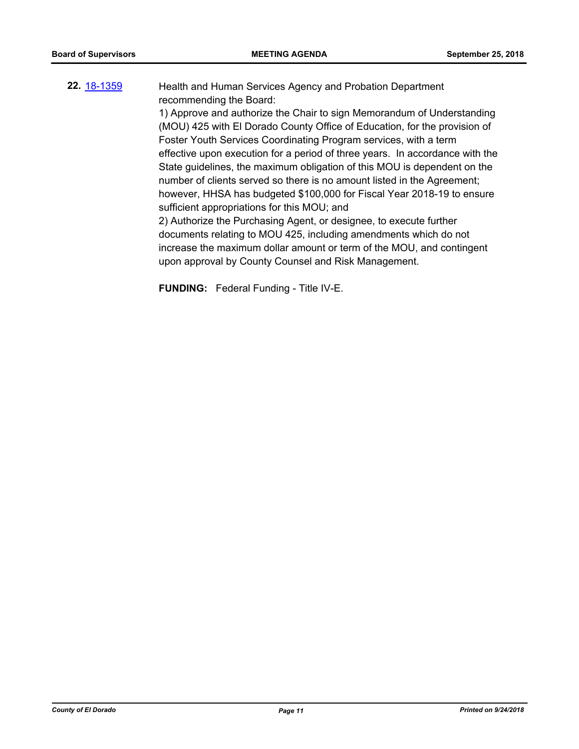**22.** [18-1359](http://eldorado.legistar.com/gateway.aspx?m=l&id=/matter.aspx?key=24711) Health and Human Services Agency and Probation Department recommending the Board:

> 1) Approve and authorize the Chair to sign Memorandum of Understanding (MOU) 425 with El Dorado County Office of Education, for the provision of Foster Youth Services Coordinating Program services, with a term effective upon execution for a period of three years. In accordance with the State guidelines, the maximum obligation of this MOU is dependent on the number of clients served so there is no amount listed in the Agreement; however, HHSA has budgeted \$100,000 for Fiscal Year 2018-19 to ensure sufficient appropriations for this MOU; and

2) Authorize the Purchasing Agent, or designee, to execute further documents relating to MOU 425, including amendments which do not increase the maximum dollar amount or term of the MOU, and contingent upon approval by County Counsel and Risk Management.

**FUNDING:** Federal Funding - Title IV-E.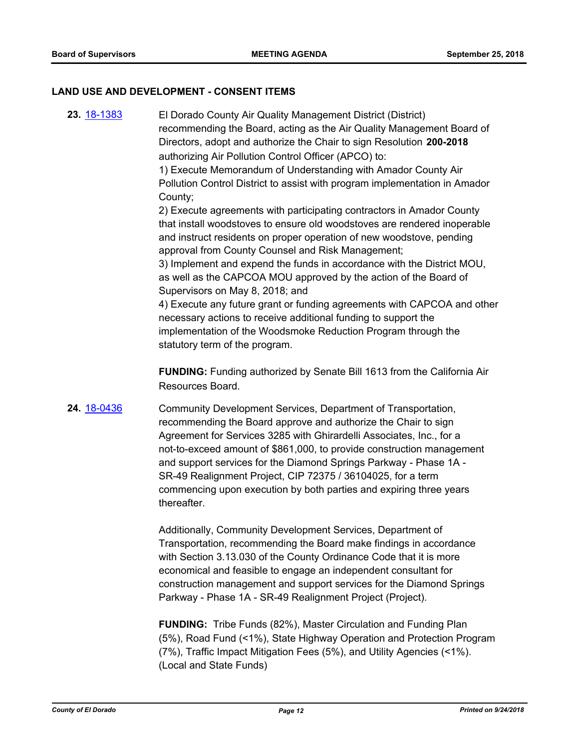#### **LAND USE AND DEVELOPMENT - CONSENT ITEMS**

**23.** [18-1383](http://eldorado.legistar.com/gateway.aspx?m=l&id=/matter.aspx?key=24735) El Dorado County Air Quality Management District (District) recommending the Board, acting as the Air Quality Management Board of Directors, adopt and authorize the Chair to sign Resolution **200-2018**  authorizing Air Pollution Control Officer (APCO) to:

1) Execute Memorandum of Understanding with Amador County Air Pollution Control District to assist with program implementation in Amador County;

2) Execute agreements with participating contractors in Amador County that install woodstoves to ensure old woodstoves are rendered inoperable and instruct residents on proper operation of new woodstove, pending approval from County Counsel and Risk Management;

3) Implement and expend the funds in accordance with the District MOU, as well as the CAPCOA MOU approved by the action of the Board of Supervisors on May 8, 2018; and

4) Execute any future grant or funding agreements with CAPCOA and other necessary actions to receive additional funding to support the implementation of the Woodsmoke Reduction Program through the statutory term of the program.

**FUNDING:** Funding authorized by Senate Bill 1613 from the California Air Resources Board.

**24.** [18-0436](http://eldorado.legistar.com/gateway.aspx?m=l&id=/matter.aspx?key=23781) Community Development Services, Department of Transportation, recommending the Board approve and authorize the Chair to sign Agreement for Services 3285 with Ghirardelli Associates, Inc., for a not-to-exceed amount of \$861,000, to provide construction management and support services for the Diamond Springs Parkway - Phase 1A - SR-49 Realignment Project, CIP 72375 / 36104025, for a term commencing upon execution by both parties and expiring three years thereafter.

> Additionally, Community Development Services, Department of Transportation, recommending the Board make findings in accordance with Section 3.13.030 of the County Ordinance Code that it is more economical and feasible to engage an independent consultant for construction management and support services for the Diamond Springs Parkway - Phase 1A - SR-49 Realignment Project (Project).

**FUNDING:** Tribe Funds (82%), Master Circulation and Funding Plan (5%), Road Fund (<1%), State Highway Operation and Protection Program (7%), Traffic Impact Mitigation Fees (5%), and Utility Agencies (<1%). (Local and State Funds)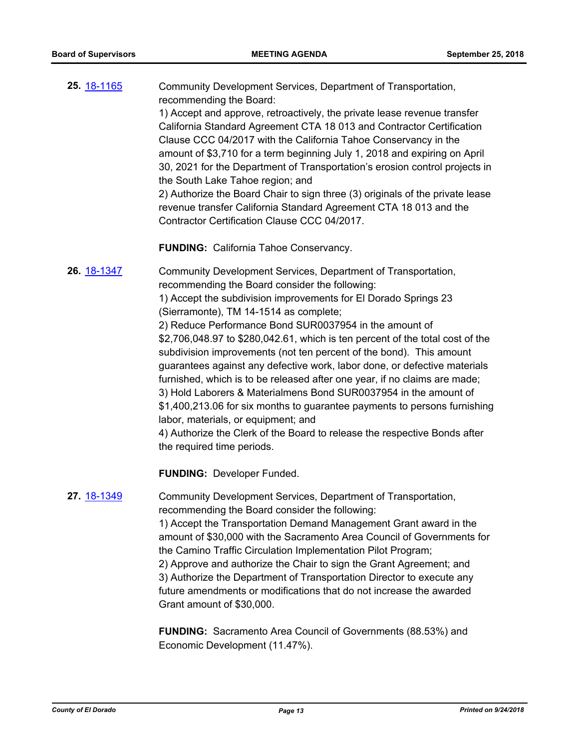**25.** [18-1165](http://eldorado.legistar.com/gateway.aspx?m=l&id=/matter.aspx?key=24515) Community Development Services, Department of Transportation, recommending the Board: 1) Accept and approve, retroactively, the private lease revenue transfer California Standard Agreement CTA 18 013 and Contractor Certification Clause CCC 04/2017 with the California Tahoe Conservancy in the amount of \$3,710 for a term beginning July 1, 2018 and expiring on April 30, 2021 for the Department of Transportation's erosion control projects in the South Lake Tahoe region; and 2) Authorize the Board Chair to sign three (3) originals of the private lease revenue transfer California Standard Agreement CTA 18 013 and the

**FUNDING:** California Tahoe Conservancy.

Contractor Certification Clause CCC 04/2017.

**26.** [18-1347](http://eldorado.legistar.com/gateway.aspx?m=l&id=/matter.aspx?key=24698) Community Development Services, Department of Transportation, recommending the Board consider the following: 1) Accept the subdivision improvements for El Dorado Springs 23 (Sierramonte), TM 14-1514 as complete; 2) Reduce Performance Bond SUR0037954 in the amount of \$2,706,048.97 to \$280,042.61, which is ten percent of the total cost of the subdivision improvements (not ten percent of the bond). This amount guarantees against any defective work, labor done, or defective materials furnished, which is to be released after one year, if no claims are made; 3) Hold Laborers & Materialmens Bond SUR0037954 in the amount of \$1,400,213.06 for six months to guarantee payments to persons furnishing labor, materials, or equipment; and 4) Authorize the Clerk of the Board to release the respective Bonds after

the required time periods.

**FUNDING:** Developer Funded.

# **27.** [18-1349](http://eldorado.legistar.com/gateway.aspx?m=l&id=/matter.aspx?key=24700) Community Development Services, Department of Transportation, recommending the Board consider the following:

1) Accept the Transportation Demand Management Grant award in the amount of \$30,000 with the Sacramento Area Council of Governments for the Camino Traffic Circulation Implementation Pilot Program;

2) Approve and authorize the Chair to sign the Grant Agreement; and 3) Authorize the Department of Transportation Director to execute any future amendments or modifications that do not increase the awarded Grant amount of \$30,000.

**FUNDING:** Sacramento Area Council of Governments (88.53%) and Economic Development (11.47%).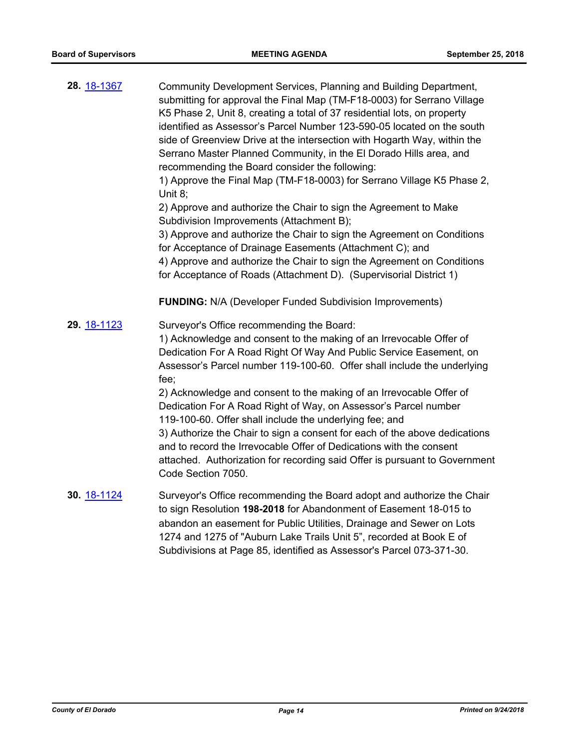| 28. 18-1367 | Community Development Services, Planning and Building Department,<br>submitting for approval the Final Map (TM-F18-0003) for Serrano Village<br>K5 Phase 2, Unit 8, creating a total of 37 residential lots, on property<br>identified as Assessor's Parcel Number 123-590-05 located on the south<br>side of Greenview Drive at the intersection with Hogarth Way, within the<br>Serrano Master Planned Community, in the El Dorado Hills area, and<br>recommending the Board consider the following:<br>1) Approve the Final Map (TM-F18-0003) for Serrano Village K5 Phase 2,<br>Unit 8;<br>2) Approve and authorize the Chair to sign the Agreement to Make<br>Subdivision Improvements (Attachment B);<br>3) Approve and authorize the Chair to sign the Agreement on Conditions<br>for Acceptance of Drainage Easements (Attachment C); and<br>4) Approve and authorize the Chair to sign the Agreement on Conditions<br>for Acceptance of Roads (Attachment D). (Supervisorial District 1)<br><b>FUNDING:</b> N/A (Developer Funded Subdivision Improvements) |
|-------------|----------------------------------------------------------------------------------------------------------------------------------------------------------------------------------------------------------------------------------------------------------------------------------------------------------------------------------------------------------------------------------------------------------------------------------------------------------------------------------------------------------------------------------------------------------------------------------------------------------------------------------------------------------------------------------------------------------------------------------------------------------------------------------------------------------------------------------------------------------------------------------------------------------------------------------------------------------------------------------------------------------------------------------------------------------------------|
| 29. 18-1123 | Surveyor's Office recommending the Board:<br>1) Acknowledge and consent to the making of an Irrevocable Offer of<br>Dedication For A Road Right Of Way And Public Service Easement, on<br>Assessor's Parcel number 119-100-60. Offer shall include the underlying<br>fee;<br>2) Acknowledge and consent to the making of an Irrevocable Offer of<br>Dedication For A Road Right of Way, on Assessor's Parcel number<br>119-100-60. Offer shall include the underlying fee; and<br>3) Authorize the Chair to sign a consent for each of the above dedications<br>and to record the Irrevocable Offer of Dedications with the consent<br>attached. Authorization for recording said Offer is pursuant to Government<br>Code Section 7050.                                                                                                                                                                                                                                                                                                                              |
| 30. 18-1124 | Surveyor's Office recommending the Board adopt and authorize the Chair<br>to sign Resolution 198-2018 for Abandonment of Easement 18-015 to<br>abandon an easement for Public Utilities, Drainage and Sewer on Lots<br>1274 and 1275 of "Auburn Lake Trails Unit 5", recorded at Book E of                                                                                                                                                                                                                                                                                                                                                                                                                                                                                                                                                                                                                                                                                                                                                                           |

Subdivisions at Page 85, identified as Assessor's Parcel 073-371-30.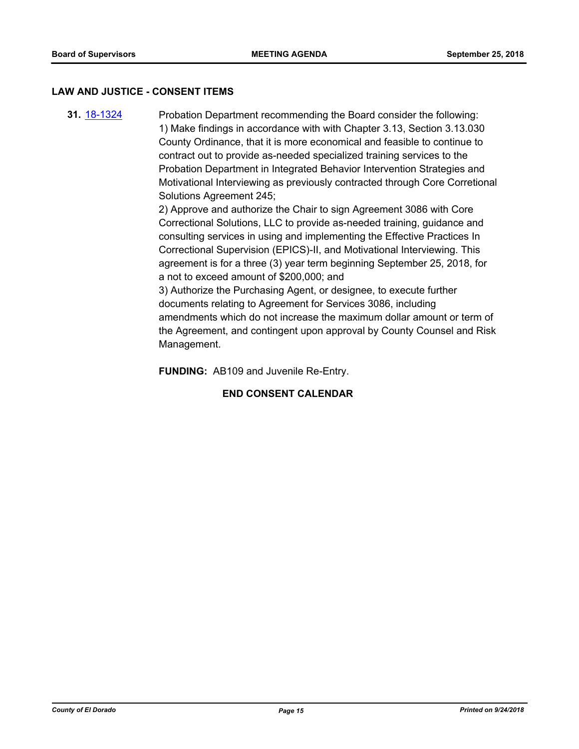#### **LAW AND JUSTICE - CONSENT ITEMS**

**31.** [18-1324](http://eldorado.legistar.com/gateway.aspx?m=l&id=/matter.aspx?key=24675) Probation Department recommending the Board consider the following: 1) Make findings in accordance with with Chapter 3.13, Section 3.13.030 County Ordinance, that it is more economical and feasible to continue to contract out to provide as-needed specialized training services to the Probation Department in Integrated Behavior Intervention Strategies and Motivational Interviewing as previously contracted through Core Corretional Solutions Agreement 245;

> 2) Approve and authorize the Chair to sign Agreement 3086 with Core Correctional Solutions, LLC to provide as-needed training, guidance and consulting services in using and implementing the Effective Practices In Correctional Supervision (EPICS)-II, and Motivational Interviewing. This agreement is for a three (3) year term beginning September 25, 2018, for a not to exceed amount of \$200,000; and

3) Authorize the Purchasing Agent, or designee, to execute further documents relating to Agreement for Services 3086, including amendments which do not increase the maximum dollar amount or term of the Agreement, and contingent upon approval by County Counsel and Risk Management.

**FUNDING:** AB109 and Juvenile Re-Entry.

### **END CONSENT CALENDAR**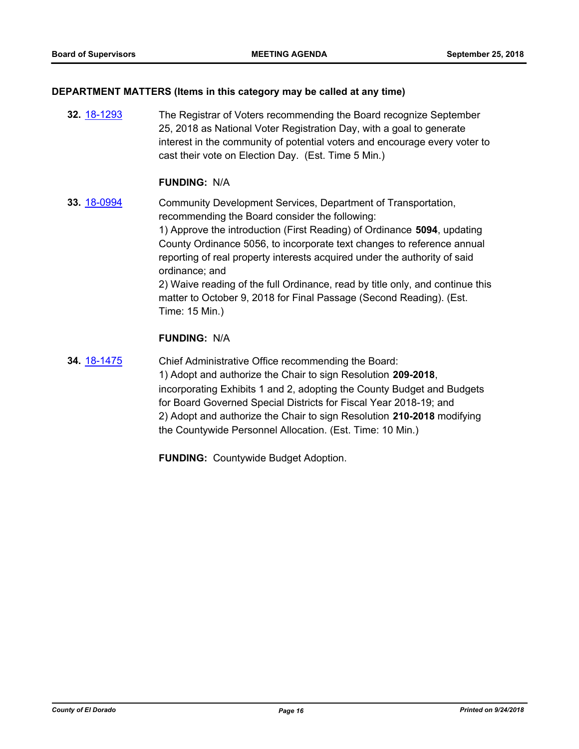#### **DEPARTMENT MATTERS (Items in this category may be called at any time)**

**32.** [18-1293](http://eldorado.legistar.com/gateway.aspx?m=l&id=/matter.aspx?key=24644) The Registrar of Voters recommending the Board recognize September 25, 2018 as National Voter Registration Day, with a goal to generate interest in the community of potential voters and encourage every voter to cast their vote on Election Day. (Est. Time 5 Min.)

#### **FUNDING:** N/A

**33.** [18-0994](http://eldorado.legistar.com/gateway.aspx?m=l&id=/matter.aspx?key=24343) Community Development Services, Department of Transportation, recommending the Board consider the following: 1) Approve the introduction (First Reading) of Ordinance **5094**, updating County Ordinance 5056, to incorporate text changes to reference annual reporting of real property interests acquired under the authority of said ordinance; and 2) Waive reading of the full Ordinance, read by title only, and continue this matter to October 9, 2018 for Final Passage (Second Reading). (Est. Time: 15 Min.)

### **FUNDING:** N/A

**34.** [18-1475](http://eldorado.legistar.com/gateway.aspx?m=l&id=/matter.aspx?key=24826) Chief Administrative Office recommending the Board: 1) Adopt and authorize the Chair to sign Resolution **209-2018**, incorporating Exhibits 1 and 2, adopting the County Budget and Budgets for Board Governed Special Districts for Fiscal Year 2018-19; and 2) Adopt and authorize the Chair to sign Resolution **210-2018** modifying the Countywide Personnel Allocation. (Est. Time: 10 Min.)

**FUNDING:** Countywide Budget Adoption.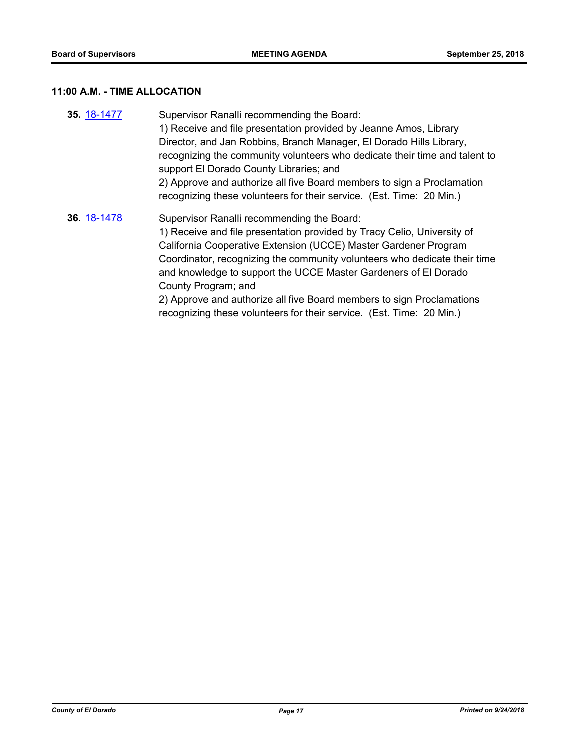# **11:00 A.M. - TIME ALLOCATION**

| 35. 18-1477 | Supervisor Ranalli recommending the Board:<br>1) Receive and file presentation provided by Jeanne Amos, Library                                                                                                                                                                                                                                                                                                                                                                                                  |
|-------------|------------------------------------------------------------------------------------------------------------------------------------------------------------------------------------------------------------------------------------------------------------------------------------------------------------------------------------------------------------------------------------------------------------------------------------------------------------------------------------------------------------------|
|             | Director, and Jan Robbins, Branch Manager, El Dorado Hills Library,<br>recognizing the community volunteers who dedicate their time and talent to<br>support El Dorado County Libraries; and                                                                                                                                                                                                                                                                                                                     |
|             | 2) Approve and authorize all five Board members to sign a Proclamation<br>recognizing these volunteers for their service. (Est. Time: 20 Min.)                                                                                                                                                                                                                                                                                                                                                                   |
| 36. 18-1478 | Supervisor Ranalli recommending the Board:<br>1) Receive and file presentation provided by Tracy Celio, University of<br>California Cooperative Extension (UCCE) Master Gardener Program<br>Coordinator, recognizing the community volunteers who dedicate their time<br>and knowledge to support the UCCE Master Gardeners of El Dorado<br>County Program; and<br>2) Approve and authorize all five Board members to sign Proclamations<br>recognizing these volunteers for their service. (Est. Time: 20 Min.) |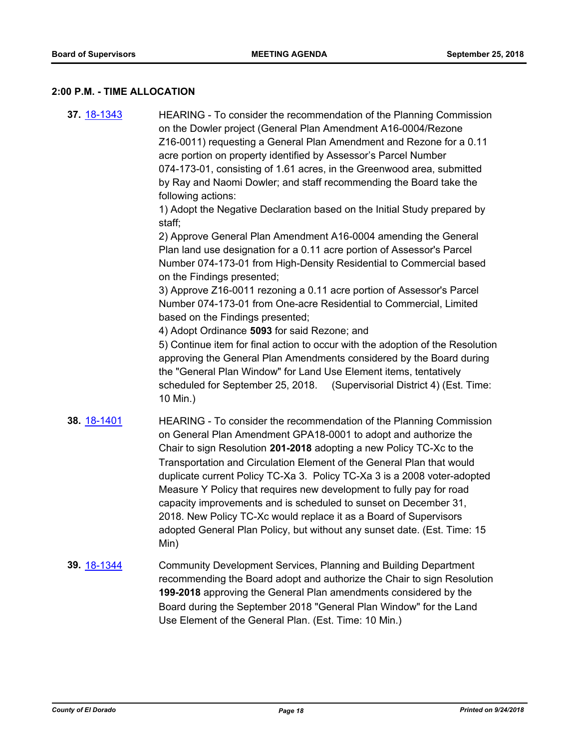#### **2:00 P.M. - TIME ALLOCATION**

**37.** [18-1343](http://eldorado.legistar.com/gateway.aspx?m=l&id=/matter.aspx?key=24694) HEARING - To consider the recommendation of the Planning Commission on the Dowler project (General Plan Amendment A16-0004/Rezone Z16-0011) requesting a General Plan Amendment and Rezone for a 0.11 acre portion on property identified by Assessor's Parcel Number 074-173-01, consisting of 1.61 acres, in the Greenwood area, submitted by Ray and Naomi Dowler; and staff recommending the Board take the following actions:

> 1) Adopt the Negative Declaration based on the Initial Study prepared by staff;

> 2) Approve General Plan Amendment A16-0004 amending the General Plan land use designation for a 0.11 acre portion of Assessor's Parcel Number 074-173-01 from High-Density Residential to Commercial based on the Findings presented;

3) Approve Z16-0011 rezoning a 0.11 acre portion of Assessor's Parcel Number 074-173-01 from One-acre Residential to Commercial, Limited based on the Findings presented;

4) Adopt Ordinance **5093** for said Rezone; and

5) Continue item for final action to occur with the adoption of the Resolution approving the General Plan Amendments considered by the Board during the "General Plan Window" for Land Use Element items, tentatively scheduled for September 25, 2018. (Supervisorial District 4) (Est. Time: 10 Min.)

- **38.** [18-1401](http://eldorado.legistar.com/gateway.aspx?m=l&id=/matter.aspx?key=24753) HEARING To consider the recommendation of the Planning Commission on General Plan Amendment GPA18-0001 to adopt and authorize the Chair to sign Resolution **201-2018** adopting a new Policy TC-Xc to the Transportation and Circulation Element of the General Plan that would duplicate current Policy TC-Xa 3. Policy TC-Xa 3 is a 2008 voter-adopted Measure Y Policy that requires new development to fully pay for road capacity improvements and is scheduled to sunset on December 31, 2018. New Policy TC-Xc would replace it as a Board of Supervisors adopted General Plan Policy, but without any sunset date. (Est. Time: 15 Min)
- **39.** [18-1344](http://eldorado.legistar.com/gateway.aspx?m=l&id=/matter.aspx?key=24695) Community Development Services, Planning and Building Department recommending the Board adopt and authorize the Chair to sign Resolution **199-2018** approving the General Plan amendments considered by the Board during the September 2018 "General Plan Window" for the Land Use Element of the General Plan. (Est. Time: 10 Min.)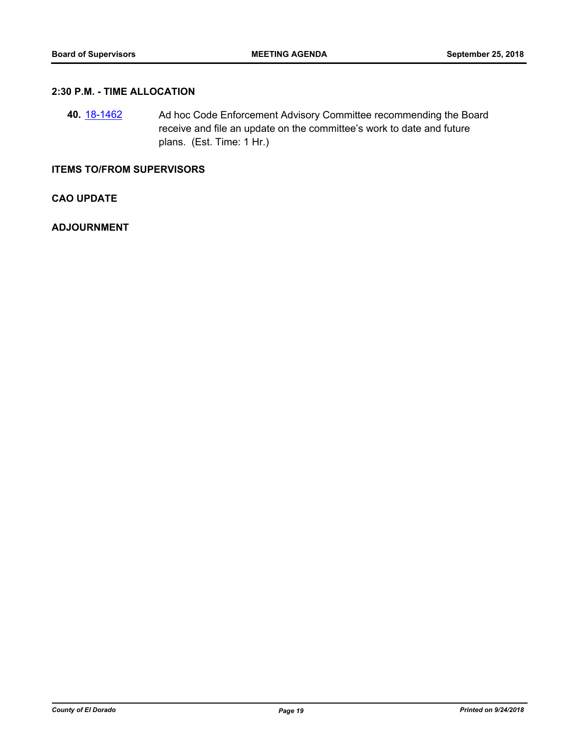## **2:30 P.M. - TIME ALLOCATION**

**40.** [18-1462](http://eldorado.legistar.com/gateway.aspx?m=l&id=/matter.aspx?key=24814) Ad hoc Code Enforcement Advisory Committee recommending the Board receive and file an update on the committee's work to date and future plans. (Est. Time: 1 Hr.)

### **ITEMS TO/FROM SUPERVISORS**

**CAO UPDATE**

#### **ADJOURNMENT**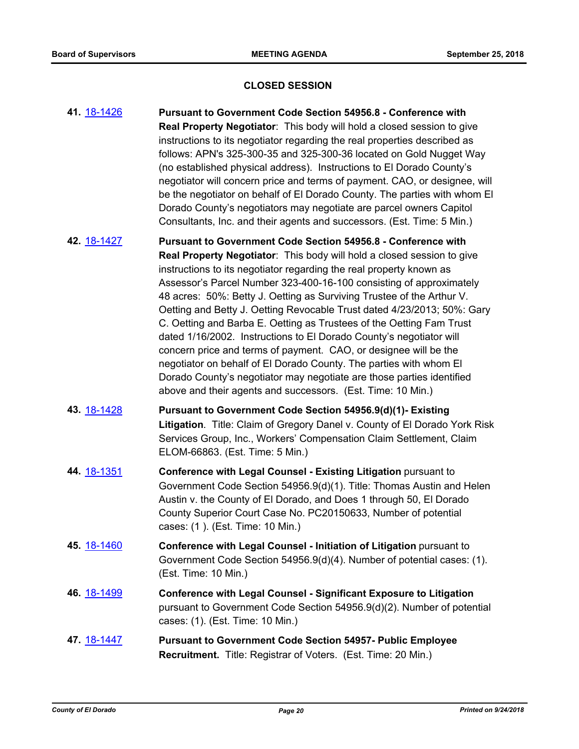#### **CLOSED SESSION**

- **41.** [18-1426](http://eldorado.legistar.com/gateway.aspx?m=l&id=/matter.aspx?key=24778) **Pursuant to Government Code Section 54956.8 Conference with Real Property Negotiator**: This body will hold a closed session to give instructions to its negotiator regarding the real properties described as follows: APN's 325-300-35 and 325-300-36 located on Gold Nugget Way (no established physical address). Instructions to El Dorado County's negotiator will concern price and terms of payment. CAO, or designee, will be the negotiator on behalf of El Dorado County. The parties with whom El Dorado County's negotiators may negotiate are parcel owners Capitol Consultants, Inc. and their agents and successors. (Est. Time: 5 Min.)
- **42.** [18-1427](http://eldorado.legistar.com/gateway.aspx?m=l&id=/matter.aspx?key=24779) **Pursuant to Government Code Section 54956.8 Conference with Real Property Negotiator**: This body will hold a closed session to give instructions to its negotiator regarding the real property known as Assessor's Parcel Number 323-400-16-100 consisting of approximately 48 acres: 50%: Betty J. Oetting as Surviving Trustee of the Arthur V. Oetting and Betty J. Oetting Revocable Trust dated 4/23/2013; 50%: Gary C. Oetting and Barba E. Oetting as Trustees of the Oetting Fam Trust dated 1/16/2002. Instructions to El Dorado County's negotiator will concern price and terms of payment. CAO, or designee will be the negotiator on behalf of El Dorado County. The parties with whom El Dorado County's negotiator may negotiate are those parties identified above and their agents and successors. (Est. Time: 10 Min.)
- **43.** [18-1428](http://eldorado.legistar.com/gateway.aspx?m=l&id=/matter.aspx?key=24780) **Pursuant to Government Code Section 54956.9(d)(1)- Existing Litigation**. Title: Claim of Gregory Danel v. County of El Dorado York Risk Services Group, Inc., Workers' Compensation Claim Settlement, Claim ELOM-66863. (Est. Time: 5 Min.)
- **44.** [18-1351](http://eldorado.legistar.com/gateway.aspx?m=l&id=/matter.aspx?key=24703) **Conference with Legal Counsel - Existing Litigation** pursuant to Government Code Section 54956.9(d)(1). Title: Thomas Austin and Helen Austin v. the County of El Dorado, and Does 1 through 50, El Dorado County Superior Court Case No. PC20150633, Number of potential cases: (1 ). (Est. Time: 10 Min.)
- **45.** [18-1460](http://eldorado.legistar.com/gateway.aspx?m=l&id=/matter.aspx?key=24812) **Conference with Legal Counsel Initiation of Litigation** pursuant to Government Code Section 54956.9(d)(4). Number of potential cases: (1). (Est. Time: 10 Min.)
- **46.** [18-1499](http://eldorado.legistar.com/gateway.aspx?m=l&id=/matter.aspx?key=24850) **Conference with Legal Counsel Significant Exposure to Litigation** pursuant to Government Code Section 54956.9(d)(2). Number of potential cases: (1). (Est. Time: 10 Min.)
- **47.** [18-1447](http://eldorado.legistar.com/gateway.aspx?m=l&id=/matter.aspx?key=24799) **Pursuant to Government Code Section 54957- Public Employee Recruitment.** Title: Registrar of Voters. (Est. Time: 20 Min.)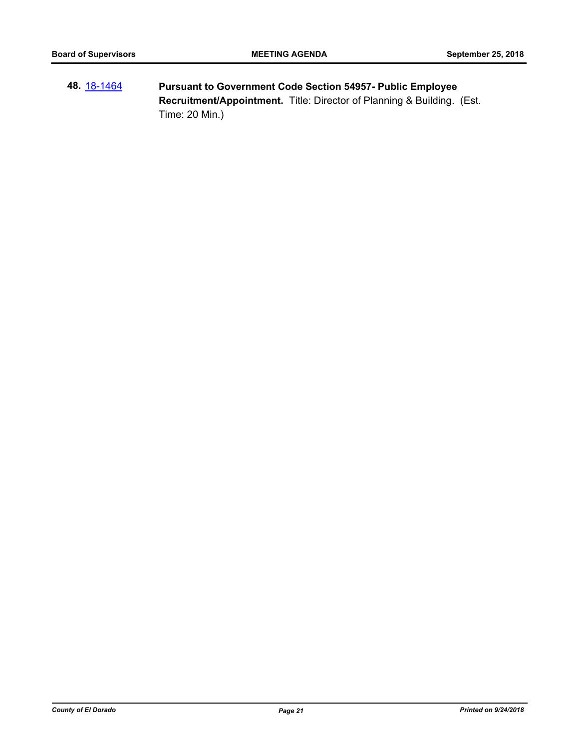**48.** [18-1464](http://eldorado.legistar.com/gateway.aspx?m=l&id=/matter.aspx?key=24816) **Pursuant to Government Code Section 54957- Public Employee Recruitment/Appointment.** Title: Director of Planning & Building. (Est. Time: 20 Min.)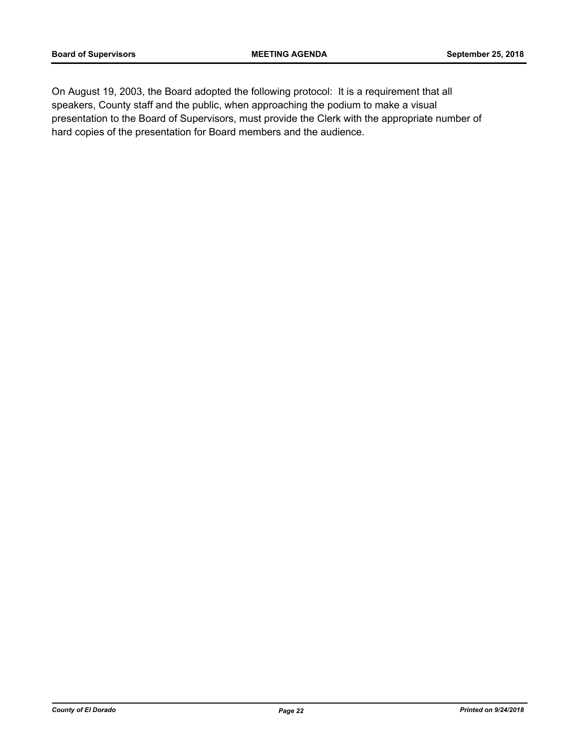On August 19, 2003, the Board adopted the following protocol: It is a requirement that all speakers, County staff and the public, when approaching the podium to make a visual presentation to the Board of Supervisors, must provide the Clerk with the appropriate number of hard copies of the presentation for Board members and the audience.